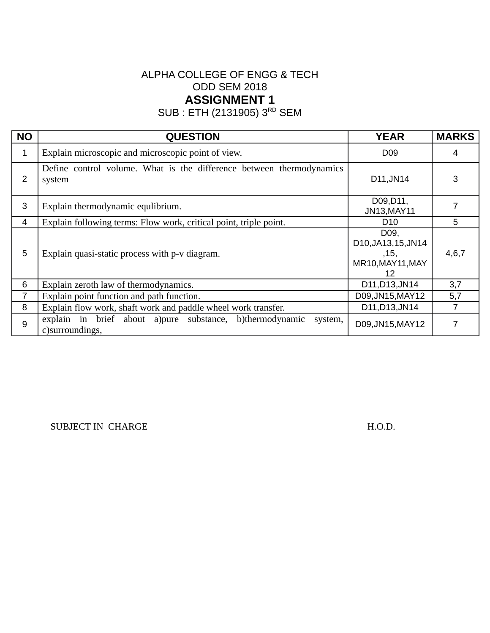SUB : ETH (2131905) 3<sup>RD</sup> SEM

| <b>NO</b>      | <b>QUESTION</b>                                                                           | <b>YEAR</b>                                                              | <b>MARKS</b> |
|----------------|-------------------------------------------------------------------------------------------|--------------------------------------------------------------------------|--------------|
| 1              | Explain microscopic and microscopic point of view.                                        | D <sub>09</sub>                                                          | 4            |
| 2              | Define control volume. What is the difference between thermodynamics<br>system            | D11, JN14                                                                | 3            |
| 3              | Explain thermodynamic equlibrium.                                                         | D09, D11,<br>JN13, MAY11                                                 |              |
| 4              | Explain following terms: Flow work, critical point, triple point.                         | D <sub>10</sub>                                                          | 5            |
| 5              | Explain quasi-static process with p-v diagram.                                            | D <sub>09</sub><br>D10, JA13, 15, JN14<br>,15,<br>MR10, MAY11, MAY<br>12 | 4,6,7        |
| 6              | Explain zeroth law of thermodynamics.                                                     | D11, D13, JN14                                                           | 3,7          |
| $\overline{7}$ | Explain point function and path function.                                                 | D09, JN15, MAY12                                                         | 5,7          |
| 8              | Explain flow work, shaft work and paddle wheel work transfer.                             | D11, D13, JN14                                                           | 7            |
| 9              | explain in brief about a) pure substance, b) thermodynamic<br>system,<br>c) surroundings, | D09, JN15, MAY12                                                         |              |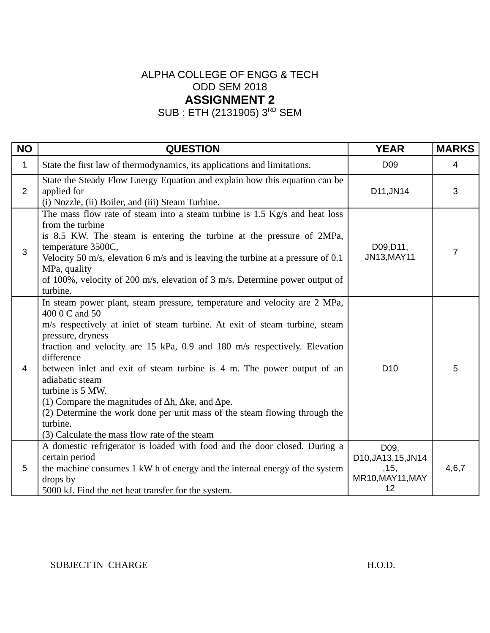SUB : ETH (2131905) 3<sup>RD</sup> SEM

| <b>NO</b>      | <b>QUESTION</b>                                                                                                                                                                                                                                                                                                                                                                                                                                                                                                                                                                                                                      | <b>YEAR</b>                                                    | <b>MARKS</b> |
|----------------|--------------------------------------------------------------------------------------------------------------------------------------------------------------------------------------------------------------------------------------------------------------------------------------------------------------------------------------------------------------------------------------------------------------------------------------------------------------------------------------------------------------------------------------------------------------------------------------------------------------------------------------|----------------------------------------------------------------|--------------|
| $\mathbf{1}$   | State the first law of thermodynamics, its applications and limitations.                                                                                                                                                                                                                                                                                                                                                                                                                                                                                                                                                             | D <sub>09</sub>                                                | 4            |
| $\overline{2}$ | State the Steady Flow Energy Equation and explain how this equation can be<br>applied for<br>(i) Nozzle, (ii) Boiler, and (iii) Steam Turbine.                                                                                                                                                                                                                                                                                                                                                                                                                                                                                       | D11, JN14                                                      | 3            |
| 3              | The mass flow rate of steam into a steam turbine is 1.5 Kg/s and heat loss<br>from the turbine<br>is 8.5 KW. The steam is entering the turbine at the pressure of 2MPa,<br>temperature 3500C,<br>Velocity 50 m/s, elevation 6 m/s and is leaving the turbine at a pressure of 0.1<br>MPa, quality<br>of 100%, velocity of 200 m/s, elevation of 3 m/s. Determine power output of<br>turbine.                                                                                                                                                                                                                                         | D09, D11,<br>JN13, MAY11                                       | 7            |
| 4              | In steam power plant, steam pressure, temperature and velocity are 2 MPa,<br>400 0 C and 50<br>m/s respectively at inlet of steam turbine. At exit of steam turbine, steam<br>pressure, dryness<br>fraction and velocity are 15 kPa, 0.9 and 180 m/s respectively. Elevation<br>difference<br>between inlet and exit of steam turbine is 4 m. The power output of an<br>adiabatic steam<br>turbine is 5 MW.<br>(1) Compare the magnitudes of $\Delta h$ , $\Delta k$ e, and $\Delta p$ e.<br>(2) Determine the work done per unit mass of the steam flowing through the<br>turbine.<br>(3) Calculate the mass flow rate of the steam | D <sub>10</sub>                                                | 5            |
| 5              | A domestic refrigerator is loaded with food and the door closed. During a<br>certain period<br>the machine consumes 1 kW h of energy and the internal energy of the system<br>drops by<br>5000 kJ. Find the net heat transfer for the system.                                                                                                                                                                                                                                                                                                                                                                                        | D09,<br>D10, JA13, 15, JN14<br>, 15,<br>MR10, MAY11, MAY<br>12 | 4,6,7        |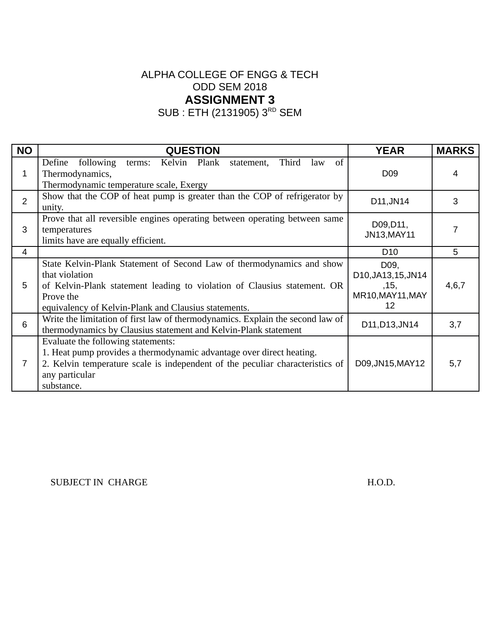SUB : ETH (2131905) 3<sup>RD</sup> SEM

| <b>NO</b>      | <b>QUESTION</b>                                                                                                                                                                                                                          | <b>YEAR</b>                                                    | <b>MARKS</b> |
|----------------|------------------------------------------------------------------------------------------------------------------------------------------------------------------------------------------------------------------------------------------|----------------------------------------------------------------|--------------|
| 1              | Kelvin Plank<br>Define<br>following<br>Third<br>of<br>terms:<br>statement,<br>law<br>Thermodynamics,<br>Thermodynamic temperature scale, Exergy                                                                                          | D <sub>09</sub>                                                | 4            |
| $\overline{2}$ | Show that the COP of heat pump is greater than the COP of refrigerator by<br>unity.                                                                                                                                                      | D11, JN14                                                      | 3            |
| 3              | Prove that all reversible engines operating between operating between same<br>temperatures<br>limits have are equally efficient.                                                                                                         | D09, D11,<br>JN13, MAY11                                       |              |
| 4              |                                                                                                                                                                                                                                          | D <sub>10</sub>                                                | 5            |
| 5              | State Kelvin-Plank Statement of Second Law of thermodynamics and show<br>that violation<br>of Kelvin-Plank statement leading to violation of Clausius statement. OR<br>Prove the<br>equivalency of Kelvin-Plank and Clausius statements. | D09,<br>D10, JA13, 15, JN14<br>, 15,<br>MR10, MAY11, MAY<br>12 | 4,6,7        |
| 6              | Write the limitation of first law of thermodynamics. Explain the second law of<br>thermodynamics by Clausius statement and Kelvin-Plank statement                                                                                        | D11, D13, JN14                                                 | 3,7          |
| 7              | Evaluate the following statements:<br>1. Heat pump provides a thermodynamic advantage over direct heating.<br>2. Kelvin temperature scale is independent of the peculiar characteristics of<br>any particular<br>substance.              | D09, JN15, MAY12                                               | 5,7          |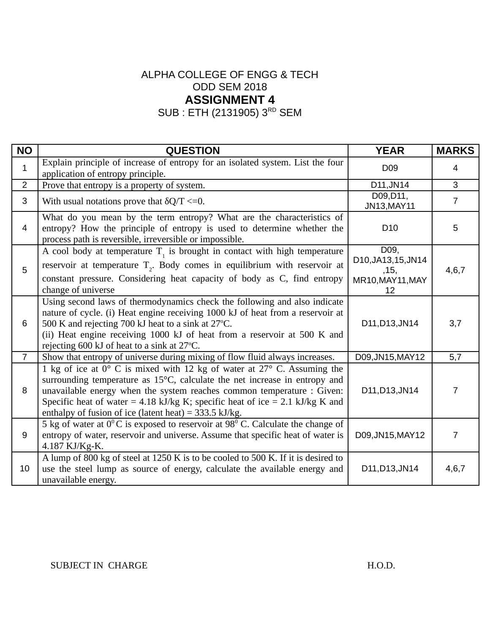SUB : ETH (2131905) 3<sup>RD</sup> SEM

| <b>NO</b>      | <b>QUESTION</b>                                                                                                                                                                                                                                                                                                                                                              | <b>YEAR</b>                         | <b>MARKS</b>   |
|----------------|------------------------------------------------------------------------------------------------------------------------------------------------------------------------------------------------------------------------------------------------------------------------------------------------------------------------------------------------------------------------------|-------------------------------------|----------------|
| $\mathbf{1}$   | Explain principle of increase of entropy for an isolated system. List the four<br>application of entropy principle.                                                                                                                                                                                                                                                          | D <sub>09</sub>                     | 4              |
| $\overline{2}$ | Prove that entropy is a property of system.                                                                                                                                                                                                                                                                                                                                  | D11, JN14                           | 3              |
| 3              | With usual notations prove that $\delta Q/T \leq 0$ .                                                                                                                                                                                                                                                                                                                        | D09, D11,<br>JN13, MAY11            | $\overline{7}$ |
| 4              | What do you mean by the term entropy? What are the characteristics of<br>entropy? How the principle of entropy is used to determine whether the<br>process path is reversible, irreversible or impossible.                                                                                                                                                                   | D <sub>10</sub>                     | 5              |
| 5              | A cool body at temperature $T1$ is brought in contact with high temperature<br>reservoir at temperature $T2$ . Body comes in equilibrium with reservoir at                                                                                                                                                                                                                   | D09,<br>D10, JA13, 15, JN14<br>,15, | 4,6,7          |
|                | constant pressure. Considering heat capacity of body as C, find entropy<br>change of universe                                                                                                                                                                                                                                                                                | MR10, MAY11, MAY<br>12              |                |
| 6              | Using second laws of thermodynamics check the following and also indicate<br>nature of cycle. (i) Heat engine receiving 1000 kJ of heat from a reservoir at<br>500 K and rejecting 700 kJ heat to a sink at 27°C.<br>(ii) Heat engine receiving 1000 kJ of heat from a reservoir at 500 K and<br>rejecting 600 kJ of heat to a sink at 27°C.                                 | D11, D13, JN14                      | 3,7            |
| $\overline{7}$ | Show that entropy of universe during mixing of flow fluid always increases.                                                                                                                                                                                                                                                                                                  | D09, JN15, MAY12                    | 5,7            |
| 8              | 1 kg of ice at 0° C is mixed with 12 kg of water at 27° C. Assuming the<br>surrounding temperature as 15°C, calculate the net increase in entropy and<br>unavailable energy when the system reaches common temperature : Given:<br>Specific heat of water = 4.18 kJ/kg K; specific heat of ice = 2.1 kJ/kg K and<br>enthalpy of fusion of ice (latent heat) = $333.5$ kJ/kg. | D11, D13, JN14                      | 7              |
| 9              | 5 kg of water at $0^0$ C is exposed to reservoir at $98^0$ C. Calculate the change of<br>entropy of water, reservoir and universe. Assume that specific heat of water is<br>4.187 KJ/Kg-K.                                                                                                                                                                                   | D09, JN15, MAY12                    | 7              |
| 10             | A lump of 800 kg of steel at 1250 K is to be cooled to 500 K. If it is desired to<br>use the steel lump as source of energy, calculate the available energy and<br>unavailable energy.                                                                                                                                                                                       | D11, D13, JN14                      | 4,6,7          |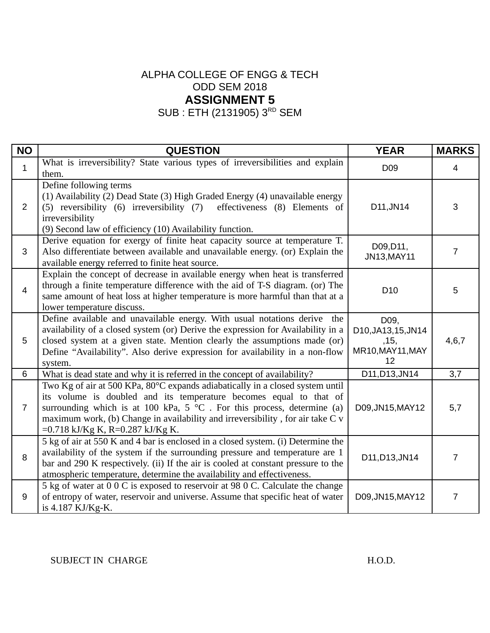SUB : ETH (2131905) 3<sup>RD</sup> SEM

| <b>NO</b>      | <b>QUESTION</b>                                                                                                                                                                                                                                                                                                                                                | <b>YEAR</b>                                                   | <b>MARKS</b> |
|----------------|----------------------------------------------------------------------------------------------------------------------------------------------------------------------------------------------------------------------------------------------------------------------------------------------------------------------------------------------------------------|---------------------------------------------------------------|--------------|
| $\mathbf{1}$   | What is irreversibility? State various types of irreversibilities and explain<br>them.                                                                                                                                                                                                                                                                         | D <sub>09</sub>                                               | 4            |
| $\overline{2}$ | Define following terms<br>(1) Availability (2) Dead State (3) High Graded Energy (4) unavailable energy<br>effectiveness (8) Elements of<br>(5) reversibility (6) irreversibility (7)<br>irreversibility<br>(9) Second law of efficiency (10) Availability function.                                                                                           | D11, JN14                                                     | 3            |
| 3              | Derive equation for exergy of finite heat capacity source at temperature T.<br>Also differentiate between available and unavailable energy. (or) Explain the<br>available energy referred to finite heat source.                                                                                                                                               | D09, D11,<br>JN13, MAY11                                      | 7            |
| $\overline{4}$ | Explain the concept of decrease in available energy when heat is transferred<br>through a finite temperature difference with the aid of T-S diagram. (or) The<br>same amount of heat loss at higher temperature is more harmful than that at a<br>lower temperature discuss.                                                                                   | D10                                                           | 5            |
| 5              | Define available and unavailable energy. With usual notations derive the<br>availability of a closed system (or) Derive the expression for Availability in a<br>closed system at a given state. Mention clearly the assumptions made (or)<br>Define "Availability". Also derive expression for availability in a non-flow<br>system.                           | D09,<br>D10, JA13, 15, JN14<br>,15,<br>MR10, MAY11, MAY<br>12 | 4, 6, 7      |
| $6\phantom{1}$ | What is dead state and why it is referred in the concept of availability?                                                                                                                                                                                                                                                                                      | D11, D13, JN14                                                | 3,7          |
| $\overline{7}$ | Two Kg of air at 500 KPa, 80°C expands adiabatically in a closed system until<br>its volume is doubled and its temperature becomes equal to that of<br>surrounding which is at 100 kPa, $5 \text{ °C}$ . For this process, determine (a)<br>maximum work, (b) Change in availability and irreversibility, for air take C v<br>=0.718 kJ/Kg K, R=0.287 kJ/Kg K. | D09, JN15, MAY12                                              | 5,7          |
| 8              | 5 kg of air at 550 K and 4 bar is enclosed in a closed system. (i) Determine the<br>availability of the system if the surrounding pressure and temperature are 1<br>bar and 290 K respectively. (ii) If the air is cooled at constant pressure to the<br>atmospheric temperature, determine the availability and effectiveness.                                | D11, D13, JN14                                                | 7            |
| 9              | 5 kg of water at 0 0 C is exposed to reservoir at 98 0 C. Calculate the change<br>of entropy of water, reservoir and universe. Assume that specific heat of water<br>is 4.187 KJ/Kg-K.                                                                                                                                                                         | D09, JN15, MAY12                                              | 7            |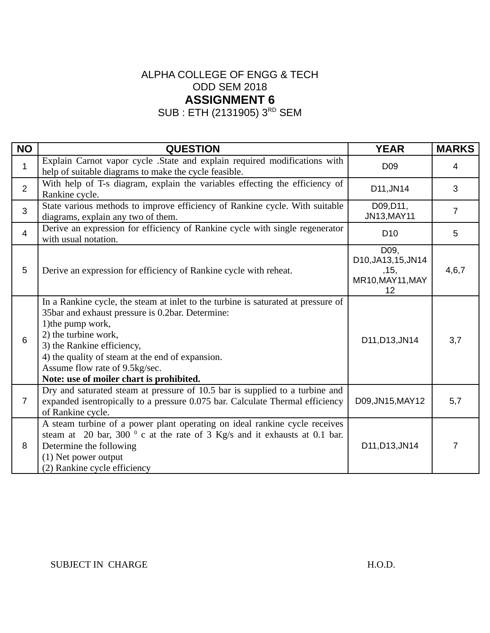SUB : ETH (2131905) 3<sup>RD</sup> SEM

| <b>NO</b>      | <b>QUESTION</b>                                                                                                                                                                                                                                                                                                                                    | <b>YEAR</b>                                                   | <b>MARKS</b>   |
|----------------|----------------------------------------------------------------------------------------------------------------------------------------------------------------------------------------------------------------------------------------------------------------------------------------------------------------------------------------------------|---------------------------------------------------------------|----------------|
| $\mathbf{1}$   | Explain Carnot vapor cycle .State and explain required modifications with<br>help of suitable diagrams to make the cycle feasible.                                                                                                                                                                                                                 | D <sub>09</sub>                                               | 4              |
| $\overline{2}$ | With help of T-s diagram, explain the variables effecting the efficiency of<br>Rankine cycle.                                                                                                                                                                                                                                                      | D11, JN14                                                     | 3              |
| 3              | State various methods to improve efficiency of Rankine cycle. With suitable<br>diagrams, explain any two of them.                                                                                                                                                                                                                                  | D09, D11,<br>JN13, MAY11                                      | $\overline{7}$ |
| $\overline{4}$ | Derive an expression for efficiency of Rankine cycle with single regenerator<br>with usual notation.                                                                                                                                                                                                                                               | D <sub>10</sub>                                               | 5              |
| 5              | Derive an expression for efficiency of Rankine cycle with reheat.                                                                                                                                                                                                                                                                                  | D09,<br>D10, JA13, 15, JN14<br>,15,<br>MR10, MAY11, MAY<br>12 | 4,6,7          |
| 6              | In a Rankine cycle, the steam at inlet to the turbine is saturated at pressure of<br>35bar and exhaust pressure is 0.2bar. Determine:<br>1) the pump work,<br>2) the turbine work,<br>3) the Rankine efficiency,<br>4) the quality of steam at the end of expansion.<br>Assume flow rate of 9.5kg/sec.<br>Note: use of moiler chart is prohibited. | D11, D13, JN14                                                | 3,7            |
| $\overline{7}$ | Dry and saturated steam at pressure of 10.5 bar is supplied to a turbine and<br>expanded isentropically to a pressure 0.075 bar. Calculate Thermal efficiency<br>of Rankine cycle.                                                                                                                                                                 | D09, JN15, MAY12                                              | 5,7            |
| 8              | A steam turbine of a power plant operating on ideal rankine cycle receives<br>steam at 20 bar, 300 $^{\circ}$ c at the rate of 3 Kg/s and it exhausts at 0.1 bar.<br>Determine the following<br>(1) Net power output<br>(2) Rankine cycle efficiency                                                                                               | D11, D13, JN14                                                | 7              |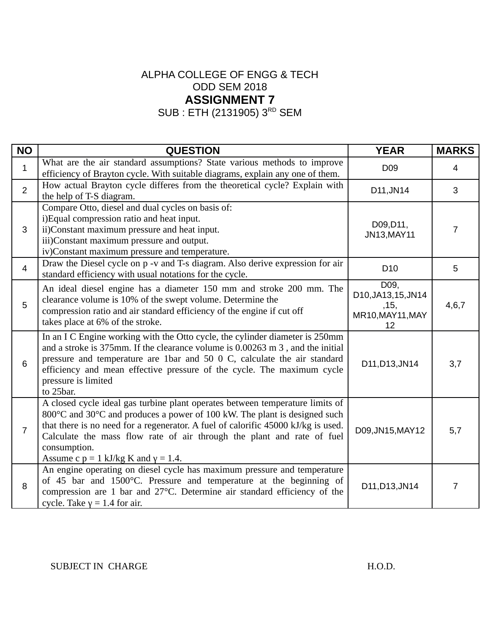SUB : ETH (2131905) 3<sup>RD</sup> SEM

| <b>NO</b>      | <b>QUESTION</b>                                                                                                                                                                                                                                                                                                                                                                            | <b>YEAR</b>                                                   | <b>MARKS</b>   |
|----------------|--------------------------------------------------------------------------------------------------------------------------------------------------------------------------------------------------------------------------------------------------------------------------------------------------------------------------------------------------------------------------------------------|---------------------------------------------------------------|----------------|
| $\mathbf{1}$   | What are the air standard assumptions? State various methods to improve<br>efficiency of Brayton cycle. With suitable diagrams, explain any one of them.                                                                                                                                                                                                                                   | D <sub>09</sub>                                               | 4              |
| $\overline{2}$ | How actual Brayton cycle differes from the theoretical cycle? Explain with<br>the help of T-S diagram.                                                                                                                                                                                                                                                                                     | D11, JN14                                                     | 3              |
| 3              | Compare Otto, diesel and dual cycles on basis of:<br>i)Equal compression ratio and heat input.<br>ii)Constant maximum pressure and heat input.<br>iii)Constant maximum pressure and output.<br>iv)Constant maximum pressure and temperature.                                                                                                                                               | D09, D11,<br>JN13, MAY11                                      | $\overline{7}$ |
| $\overline{4}$ | Draw the Diesel cycle on p -v and T-s diagram. Also derive expression for air<br>standard efficiency with usual notations for the cycle.                                                                                                                                                                                                                                                   | D <sub>10</sub>                                               | 5              |
| 5              | An ideal diesel engine has a diameter 150 mm and stroke 200 mm. The<br>clearance volume is 10% of the swept volume. Determine the<br>compression ratio and air standard efficiency of the engine if cut off<br>takes place at 6% of the stroke.                                                                                                                                            | D09,<br>D10, JA13, 15, JN14<br>,15,<br>MR10, MAY11, MAY<br>12 | 4,6,7          |
| 6              | In an I C Engine working with the Otto cycle, the cylinder diameter is 250mm<br>and a stroke is 375mm. If the clearance volume is 0.00263 m 3, and the initial<br>pressure and temperature are 1bar and 50 0 C, calculate the air standard<br>efficiency and mean effective pressure of the cycle. The maximum cycle<br>pressure is limited<br>to 25bar.                                   | D11, D13, JN14                                                | 3,7            |
| $\overline{7}$ | A closed cycle ideal gas turbine plant operates between temperature limits of<br>800°C and 30°C and produces a power of 100 kW. The plant is designed such<br>that there is no need for a regenerator. A fuel of calorific 45000 kJ/kg is used.<br>Calculate the mass flow rate of air through the plant and rate of fuel<br>consumption.<br>Assume c $p = 1$ kJ/kg K and $\gamma = 1.4$ . | D09, JN15, MAY12                                              | 5,7            |
| 8              | An engine operating on diesel cycle has maximum pressure and temperature<br>of 45 bar and 1500°C. Pressure and temperature at the beginning of<br>compression are 1 bar and 27°C. Determine air standard efficiency of the<br>cycle. Take $y = 1.4$ for air.                                                                                                                               | D11, D13, JN14                                                | 7              |